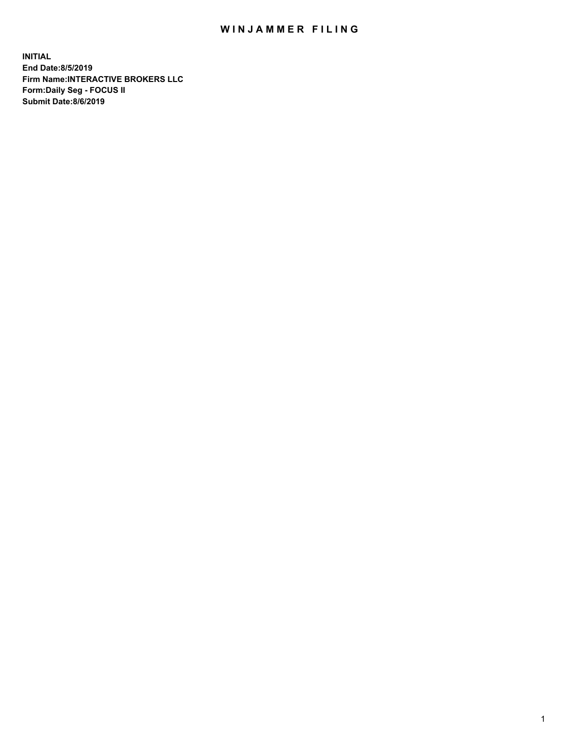## WIN JAMMER FILING

**INITIAL End Date:8/5/2019 Firm Name:INTERACTIVE BROKERS LLC Form:Daily Seg - FOCUS II Submit Date:8/6/2019**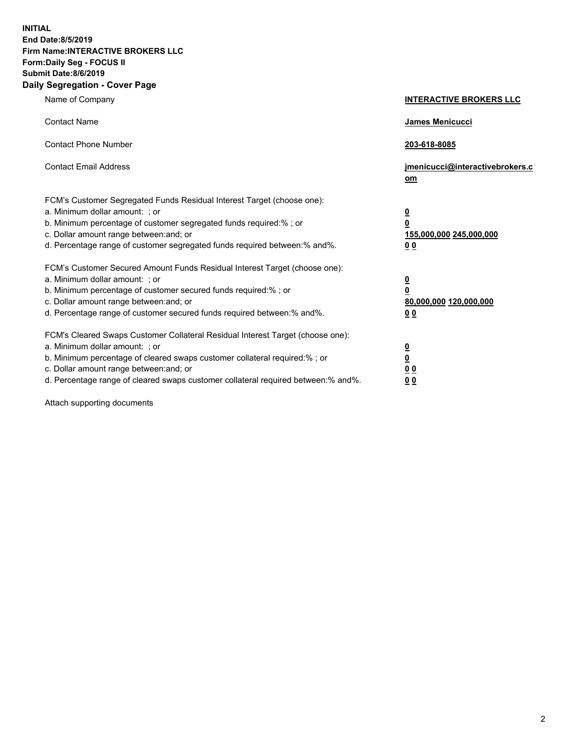**INITIAL End Date:8/5/2019 Firm Name:INTERACTIVE BROKERS LLC Form:Daily Seg - FOCUS II Submit Date:8/6/2019 Daily Segregation - Cover Page**

| Name of Company                                                                                                                                                                                                                                                                                                                | <b>INTERACTIVE BROKERS LLC</b>                                                      |
|--------------------------------------------------------------------------------------------------------------------------------------------------------------------------------------------------------------------------------------------------------------------------------------------------------------------------------|-------------------------------------------------------------------------------------|
| <b>Contact Name</b>                                                                                                                                                                                                                                                                                                            | James Menicucci                                                                     |
| <b>Contact Phone Number</b>                                                                                                                                                                                                                                                                                                    | 203-618-8085                                                                        |
| <b>Contact Email Address</b>                                                                                                                                                                                                                                                                                                   | jmenicucci@interactivebrokers.c<br>om                                               |
| FCM's Customer Segregated Funds Residual Interest Target (choose one):<br>a. Minimum dollar amount: : or<br>b. Minimum percentage of customer segregated funds required:% ; or<br>c. Dollar amount range between: and; or<br>d. Percentage range of customer segregated funds required between:% and%.                         | $\overline{\mathbf{0}}$<br>$\overline{\mathbf{0}}$<br>155,000,000 245,000,000<br>00 |
| FCM's Customer Secured Amount Funds Residual Interest Target (choose one):<br>a. Minimum dollar amount: ; or<br>b. Minimum percentage of customer secured funds required:% ; or<br>c. Dollar amount range between: and; or<br>d. Percentage range of customer secured funds required between:% and%.                           | $\overline{\mathbf{0}}$<br>0<br>80,000,000 120,000,000<br>0 <sub>0</sub>            |
| FCM's Cleared Swaps Customer Collateral Residual Interest Target (choose one):<br>a. Minimum dollar amount: ; or<br>b. Minimum percentage of cleared swaps customer collateral required:% ; or<br>c. Dollar amount range between: and; or<br>d. Percentage range of cleared swaps customer collateral required between:% and%. | <u>0</u><br><u>0</u><br>0 <sub>0</sub><br>0 <sub>0</sub>                            |

Attach supporting documents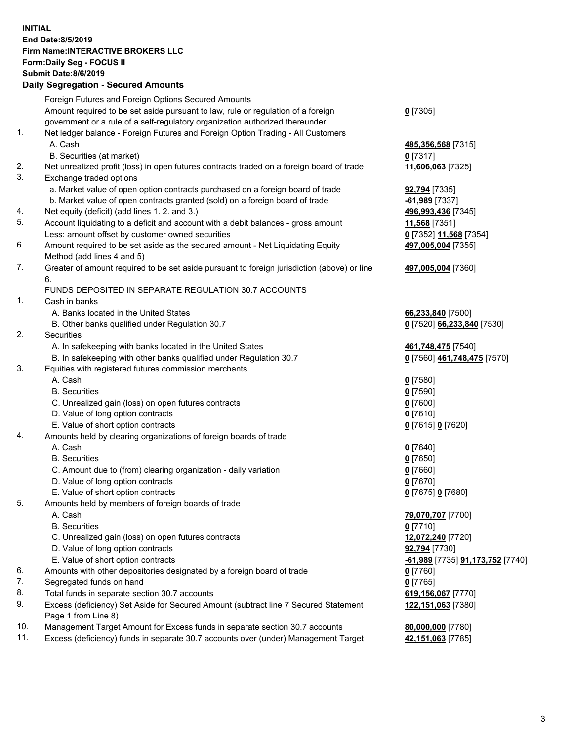## **INITIAL End Date:8/5/2019 Firm Name:INTERACTIVE BROKERS LLC Form:Daily Seg - FOCUS II Submit Date:8/6/2019 Daily Segregation - Secured Amounts**

|     | 2011, Ocgi ogation - Oceaned Anioanita                                                                     |                                                |
|-----|------------------------------------------------------------------------------------------------------------|------------------------------------------------|
|     | Foreign Futures and Foreign Options Secured Amounts                                                        |                                                |
|     | Amount required to be set aside pursuant to law, rule or regulation of a foreign                           | $0$ [7305]                                     |
|     | government or a rule of a self-regulatory organization authorized thereunder                               |                                                |
| 1.  | Net ledger balance - Foreign Futures and Foreign Option Trading - All Customers                            |                                                |
|     | A. Cash                                                                                                    | 485,356,568 [7315]                             |
|     | B. Securities (at market)                                                                                  | $0$ [7317]                                     |
| 2.  | Net unrealized profit (loss) in open futures contracts traded on a foreign board of trade                  | 11,606,063 [7325]                              |
| 3.  | Exchange traded options                                                                                    |                                                |
|     | a. Market value of open option contracts purchased on a foreign board of trade                             | <b>92,794</b> [7335]                           |
|     | b. Market value of open contracts granted (sold) on a foreign board of trade                               | -61,989 [7337]                                 |
| 4.  | Net equity (deficit) (add lines 1. 2. and 3.)                                                              | 496,993,436 [7345]                             |
| 5.  | Account liquidating to a deficit and account with a debit balances - gross amount                          | 11,568 [7351]                                  |
|     | Less: amount offset by customer owned securities                                                           | 0 [7352] 11,568 [7354]                         |
| 6.  | Amount required to be set aside as the secured amount - Net Liquidating Equity                             | 497,005,004 [7355]                             |
|     | Method (add lines 4 and 5)                                                                                 |                                                |
| 7.  | Greater of amount required to be set aside pursuant to foreign jurisdiction (above) or line                | 497,005,004 [7360]                             |
|     | 6.                                                                                                         |                                                |
|     | FUNDS DEPOSITED IN SEPARATE REGULATION 30.7 ACCOUNTS                                                       |                                                |
| 1.  | Cash in banks                                                                                              |                                                |
|     | A. Banks located in the United States                                                                      | 66,233,840 [7500]                              |
|     | B. Other banks qualified under Regulation 30.7                                                             | 0 [7520] 66,233,840 [7530]                     |
| 2.  | Securities                                                                                                 |                                                |
|     | A. In safekeeping with banks located in the United States                                                  | 461,748,475 [7540]                             |
|     | B. In safekeeping with other banks qualified under Regulation 30.7                                         | 0 [7560] 461,748,475 [7570]                    |
| 3.  | Equities with registered futures commission merchants                                                      |                                                |
|     | A. Cash                                                                                                    | $0$ [7580]                                     |
|     | <b>B.</b> Securities                                                                                       | $0$ [7590]                                     |
|     | C. Unrealized gain (loss) on open futures contracts                                                        | $0$ [7600]                                     |
|     | D. Value of long option contracts                                                                          | $0$ [7610]                                     |
|     | E. Value of short option contracts                                                                         | 0 [7615] 0 [7620]                              |
| 4.  | Amounts held by clearing organizations of foreign boards of trade                                          |                                                |
|     | A. Cash                                                                                                    | $0$ [7640]                                     |
|     | <b>B.</b> Securities                                                                                       | $0$ [7650]                                     |
|     | C. Amount due to (from) clearing organization - daily variation                                            | $0$ [7660]                                     |
|     | D. Value of long option contracts                                                                          | $0$ [7670]                                     |
|     | E. Value of short option contracts                                                                         | 0 [7675] 0 [7680]                              |
| 5.  | Amounts held by members of foreign boards of trade                                                         |                                                |
|     | A. Cash                                                                                                    | 79,070,707 [7700]                              |
|     | <b>B.</b> Securities                                                                                       | $0$ [7710]                                     |
|     | C. Unrealized gain (loss) on open futures contracts                                                        | 12,072,240 [7720]                              |
|     | D. Value of long option contracts                                                                          | 92,794 [7730]                                  |
|     | E. Value of short option contracts                                                                         | <u>-61,989</u> [7735] <u>91,173,752</u> [7740] |
| 6.  | Amounts with other depositories designated by a foreign board of trade                                     | 0 [7760]                                       |
| 7.  | Segregated funds on hand                                                                                   | $0$ [7765]                                     |
| 8.  | Total funds in separate section 30.7 accounts                                                              | 619,156,067 [7770]                             |
| 9.  | Excess (deficiency) Set Aside for Secured Amount (subtract line 7 Secured Statement<br>Page 1 from Line 8) | 122, 151, 063 [7380]                           |
| 10. | Management Target Amount for Excess funds in separate section 30.7 accounts                                | 80,000,000 [7780]                              |
| 11. | Excess (deficiency) funds in separate 30.7 accounts over (under) Management Target                         | 42,151,063 [7785]                              |
|     |                                                                                                            |                                                |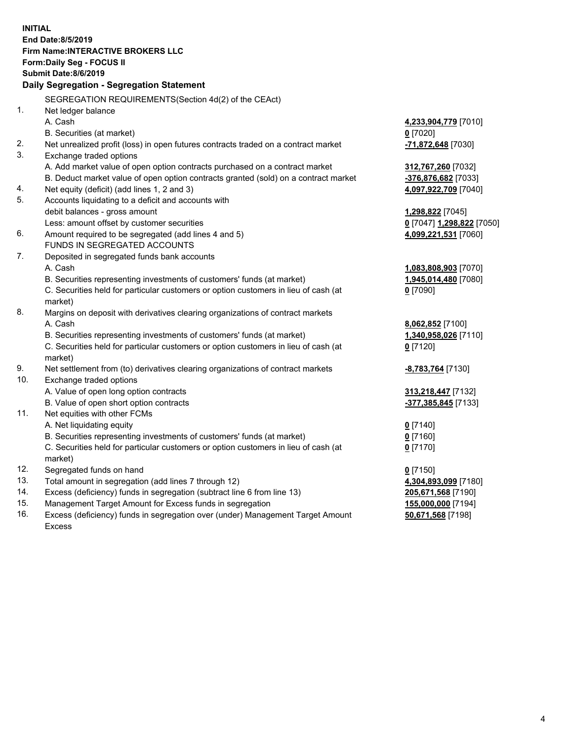**INITIAL End Date:8/5/2019 Firm Name:INTERACTIVE BROKERS LLC Form:Daily Seg - FOCUS II Submit Date:8/6/2019 Daily Segregation - Segregation Statement** SEGREGATION REQUIREMENTS(Section 4d(2) of the CEAct) 1. Net ledger balance A. Cash **4,233,904,779** [7010] B. Securities (at market) **0** [7020] 2. Net unrealized profit (loss) in open futures contracts traded on a contract market **-71,872,648** [7030] 3. Exchange traded options A. Add market value of open option contracts purchased on a contract market **312,767,260** [7032] B. Deduct market value of open option contracts granted (sold) on a contract market **-376,876,682** [7033] 4. Net equity (deficit) (add lines 1, 2 and 3) **4,097,922,709** [7040] 5. Accounts liquidating to a deficit and accounts with debit balances - gross amount **1,298,822** [7045] Less: amount offset by customer securities **0** [7047] **1,298,822** [7050] 6. Amount required to be segregated (add lines 4 and 5) **4,099,221,531** [7060] FUNDS IN SEGREGATED ACCOUNTS 7. Deposited in segregated funds bank accounts A. Cash **1,083,808,903** [7070] B. Securities representing investments of customers' funds (at market) **1,945,014,480** [7080] C. Securities held for particular customers or option customers in lieu of cash (at market) **0** [7090] 8. Margins on deposit with derivatives clearing organizations of contract markets A. Cash **8,062,852** [7100] B. Securities representing investments of customers' funds (at market) **1,340,958,026** [7110] C. Securities held for particular customers or option customers in lieu of cash (at market) **0** [7120] 9. Net settlement from (to) derivatives clearing organizations of contract markets **-8,783,764** [7130] 10. Exchange traded options A. Value of open long option contracts **313,218,447** [7132] B. Value of open short option contracts **-377,385,845** [7133] 11. Net equities with other FCMs A. Net liquidating equity **0** [7140] B. Securities representing investments of customers' funds (at market) **0** [7160] C. Securities held for particular customers or option customers in lieu of cash (at market) **0** [7170] 12. Segregated funds on hand **0** [7150] 13. Total amount in segregation (add lines 7 through 12) **4,304,893,099** [7180] 14. Excess (deficiency) funds in segregation (subtract line 6 from line 13) **205,671,568** [7190] 15. Management Target Amount for Excess funds in segregation **155,000,000** [7194] **50,671,568** [7198]

16. Excess (deficiency) funds in segregation over (under) Management Target Amount Excess